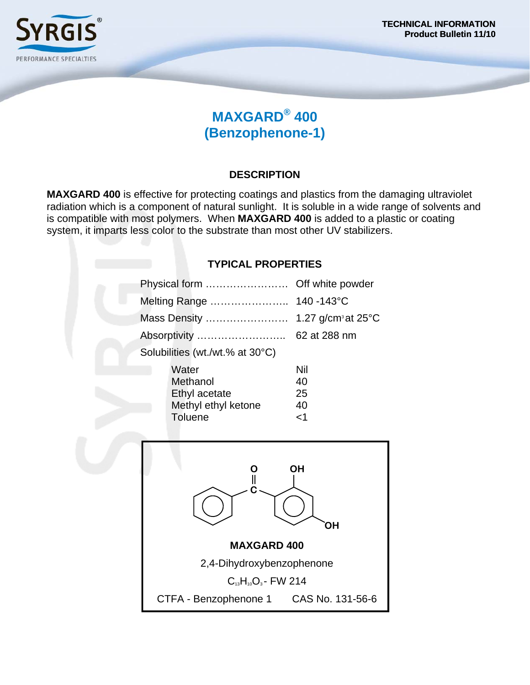

## **MAXGARD® 400 (Benzophenone-1)**

### **DESCRIPTION**

**MAXGARD 400** is effective for protecting coatings and plastics from the damaging ultraviolet radiation which is a component of natural sunlight. It is soluble in a wide range of solvents and is compatible with most polymers. When **MAXGARD 400** is added to a plastic or coating system, it imparts less color to the substrate than most other UV stabilizers.

### **TYPICAL PROPERTIES**Physical form …………………… Off white powder Melting Range ………………….. 140 -143°C Mass Density …………………… 1.27 g/cm3 at 25°C Absorptivity …………………….. 62 at 288 nm Solubilities (wt./wt.% at 30°C) Water Nil Methanol 40 Ethyl acetate 25

Methyl ethyl ketone 40 Toluene <1